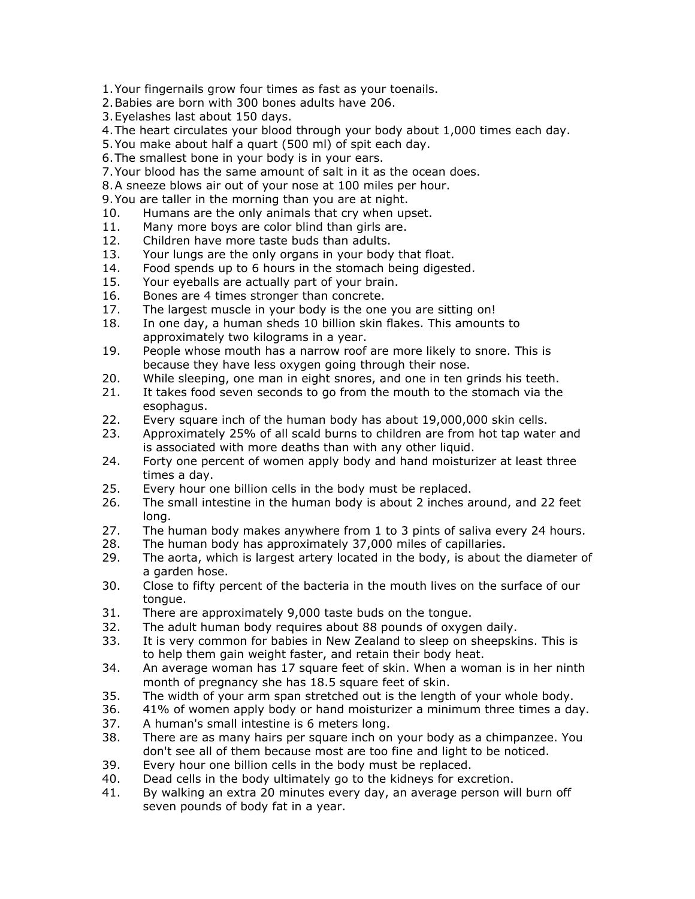1.Your fingernails grow four times as fast as your toenails.

2.Babies are born with 300 bones adults have 206.

3.Eyelashes last about 150 days.

- 4.The heart circulates your blood through your body about 1,000 times each day.
- 5.You make about half a quart (500 ml) of spit each day.
- 6.The smallest bone in your body is in your ears.
- 7.Your blood has the same amount of salt in it as the ocean does.
- 8.A sneeze blows air out of your nose at 100 miles per hour.

9.You are taller in the morning than you are at night.

- 10. Humans are the only animals that cry when upset.
- 11. Many more boys are color blind than girls are.
- 12. Children have more taste buds than adults.
- 13. Your lungs are the only organs in your body that float.
- 14. Food spends up to 6 hours in the stomach being digested.
- 15. Your eyeballs are actually part of your brain.
- 16. Bones are 4 times stronger than concrete.
- 17. The largest muscle in your body is the one you are sitting on!
- 18. In one day, a human sheds 10 billion skin flakes. This amounts to approximately two kilograms in a year.
- 19. People whose mouth has a narrow roof are more likely to snore. This is because they have less oxygen going through their nose.
- 20. While sleeping, one man in eight snores, and one in ten grinds his teeth.
- 21. It takes food seven seconds to go from the mouth to the stomach via the esophagus.
- 22. Every square inch of the human body has about 19,000,000 skin cells.
- 23. Approximately 25% of all scald burns to children are from hot tap water and is associated with more deaths than with any other liquid.
- 24. Forty one percent of women apply body and hand moisturizer at least three times a day.
- 25. Every hour one billion cells in the body must be replaced.
- 26. The small intestine in the human body is about 2 inches around, and 22 feet long.
- 27. The human body makes anywhere from 1 to 3 pints of saliva every 24 hours.
- 28. The human body has approximately 37,000 miles of capillaries.
- 29. The aorta, which is largest artery located in the body, is about the diameter of a garden hose.
- 30. Close to fifty percent of the bacteria in the mouth lives on the surface of our tongue.
- 31. There are approximately 9,000 taste buds on the tongue.
- 32. The adult human body requires about 88 pounds of oxygen daily.
- 33. It is very common for babies in New Zealand to sleep on sheepskins. This is to help them gain weight faster, and retain their body heat.
- 34. An average woman has 17 square feet of skin. When a woman is in her ninth month of pregnancy she has 18.5 square feet of skin.
- 35. The width of your arm span stretched out is the length of your whole body.
- 36. 41% of women apply body or hand moisturizer a minimum three times a day.
- 37. A human's small intestine is 6 meters long.
- 38. There are as many hairs per square inch on your body as a chimpanzee. You don't see all of them because most are too fine and light to be noticed.
- 39. Every hour one billion cells in the body must be replaced.
- 40. Dead cells in the body ultimately go to the kidneys for excretion.
- 41. By walking an extra 20 minutes every day, an average person will burn off seven pounds of body fat in a year.